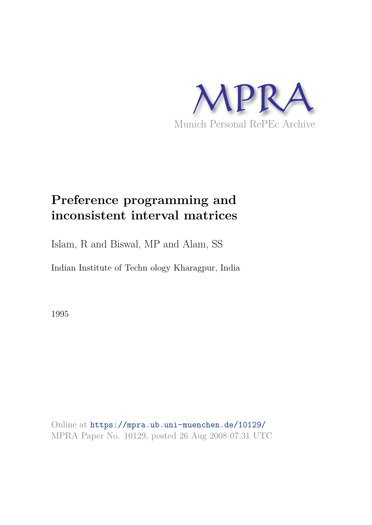

# **Preference programming and inconsistent interval matrices**

Islam, R and Biswal, MP and Alam, SS

Indian Institute of Techn ology Kharagpur, India

1995

Online at https://mpra.ub.uni-muenchen.de/10129/ MPRA Paper No. 10129, posted 26 Aug 2008 07:31 UTC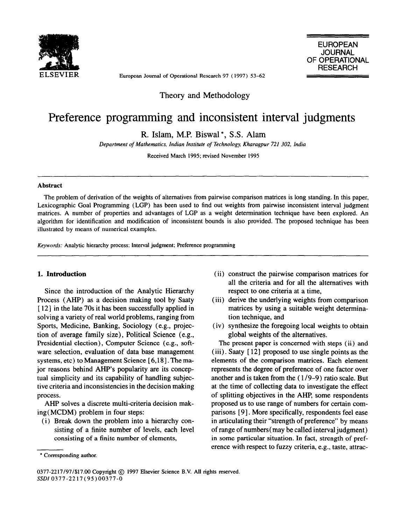

European Joumal of Operational Research 97 ( 1997) 53-62

EUROPEAN **JOURNAL** OF OPERATIONAL **RESEARCH** 

Theory and Methodology

## Preference programming and inconsistent interval judgments

R. Islam, M.P. Biswal \*, S.S. Alam

*Department of Mathematics, Indian Institute of Technology, Kharagpur 721 302, India* 

Received March 1995: revised November 1995

#### **Abstract**

The problem of derivation of the weights of altematives from pairwise comparison matrices is long standing. In this paper, Lexicographic Goal Programming (LGP) has been used to find out weights from pairwise inconsistent interval judgment matrices. A number of properties and advantages of LGP as a weight determination technique have been explored. An algorithm for identification and modification of inconsistent bounds is also provided. The proposed technique has been illustrated by means of numerical examples.

*Keywords:* Analytic hierarchy process; Interval judgment; Preference programming

#### **1. Intmduction**

Since the introduction of the Analytic Hierarchy Process (AHP) as a decision making tool by Saaty [12] in the late 70s it has been successfully applied in solving a variety of real world problems, ranging from Sports, Medicine, Banking, Sociology (e.g., projection of average family size), Politica1 Science (e.g., Presidential election), Computer Science (e.g., software selection, evaluation of data base management systems, etc) to Management Science [ 6,181. The major reasons behind AHP's popularity are its conceptual simplicity and its capability of handling subjective criteria and inconsistencies in the decision making process.

AHP solves a discrete multi-criteria decision making( MCDM) problem in four steps:

(i) Break down the problem into a hierarchy consisting of a finite number of levels, each leve1 consisting of a finite number of elements,

- (ii) construct the pairwise comparison matrices for al1 the criteria and for al1 the alternatives with respect to one criteria at a time,
- (iii) derive the underlying weights from comparison matrices by using a suitable weight determination technique, and
- (iv) synthesize the foregoing local weights to obtain global weights of the alternatives.

The present paper is concemed with steps (ii) and (iii) . Saaty [ 121 proposed to use single points as the elements of the comparison matrices. Each element represents the degree of preference of one factor over another and is taken from the ( 1/9-9) ratio scale. But at the time of collecting data to investigate the effect of splitting objectives in the AHP, some respondents proposed us to use range of numbers for certain comparisons [ 91. More specifically, respondents fee1 ease in articulating their "strength of preference" by means of range of numbers( may be called interval judgment) in some particular situation. In fact, strength of preference with respect to fuzzy criteria, e.g., taste, attrac-

<sup>\*</sup> Corresponding author.

<sup>0377-2217/97/\$17.00</sup> Copyright @ 1997 Elsevier Science B.V. Al1 rights reserved. SSDI 0377-2217(95)00377-0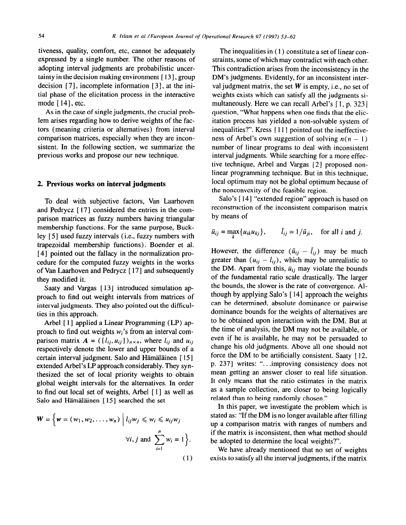tiveness, quality, comfort, etc, cannot be adequately expressed by a single number. The other reasons of adopting interval judgments are probabilistic uncertainty in the decision making environment [13], group decision [7], incomplete information [3], at the initial phase of the elicitation process in the interactive mode [ 141, etc.

As in the case of single judgments, the crucial problem arises regarding how to derive weights of the factors (meaning criteria or alternatives) from interval comparison matrices, especially when they are inconsistent. In the following section, we summarize the previous works and propose our new technique.

#### 2. **Previous works on interval judgments**

To deal with subjective factors, Van Laarhoven and Pedrycz [ 171 considered the entries in the comparison matrices as fuzzy numbers having triangular membership functions. For the same purpose, Buckley [ 51 used fuzzy intervals (i.e., fuzzy numbers with trapezoidal membership functions) . Boender et al. [4] pointed out the fallacy in the normalization procedure for the computed fuzzy weights in the works of Van Laarhoven and Pedrycz [ 171 and subsequently they modified it.

Saaty and Vargas [13] introduced simulation approach to find out weight intervals from matrices of interval judgments. They also pointed out the difficulties in this approach.

Arbel [ l] applied a Linear Programming (LP) approach to find out weights  $w_i$ 's from an interval comparison matrix  $A = (\{l_{ij}, u_{ij}\})_{n \times n}$ , where  $l_{ij}$  and  $u_{ij}$ respectively denote the lower and upper bounds of a certain interval judgment. Salo and Hämäläinen [ 151 extended Arbel's LP approach considerably. They synthesized the set of local priority weights to obtain global weight intervals for the alternatives. In order to find out local set of weights, Arbel [ 11 as wel1 as Salo and Hämäläinen [15] searched the set

$$
W = \left\{ w = (w_1, w_2, \dots, w_n) \middle| l_{ij} w_j \leq w_i \leq u_{ij} w_j \right\}
$$
  

$$
\forall i, j \text{ and } \sum_{i=1}^n w_i = 1 \right\}.
$$
  
(1)

The inequalities in ( 1) constitute a set of linear constraints, some of which may contradict with each other. This contradiction arises from the inconsistency in the DM's judgments. Evidently, for an inconsistent interval judgment matrix, the set  $W$  is empty, i.e., no set of weights exists which can satisfy al1 the judgments simultaneously. Here we can recall Arbel's [1, p. 323] question, "What happens when one finds that the elicitation process has yielded a non-solvable system of inequalities?". Kress [11] pointed out the ineffectiveness of Arbel's own suggestion of solving  $n(n - 1)$ number of linear programs to deal with inconsistent interval judgments. While searching for a more effective technique, Arbel and Vargas [2] proposed nonlinear programming technique. But in this technique, local optimum may not be global optimum because of the nonconvexity of the feasible region.

Salo's [ 141 "extended region" approach is based on reconstruction of the inconsistent comparison matrix by means of

$$
\tilde{u}_{ij} = \max_{k} \{ u_{ik} u_{kj} \}, \qquad \tilde{l}_{ij} = 1 / \tilde{u}_{ji}, \quad \text{for all } i \text{ and } j.
$$

However, the difference  $(\tilde{u}_{ij} - \tilde{l}_{ij})$  may be much greater than  $(u_{ij} - l_{ij})$ , which may be unrealistic to the DM. Apart from this,  $\tilde{u}_{ij}$  may violate the bounds of the fundamental ratio scale drastically. The larger the bounds, the slower is the rate of convergence. Although by applying Salo's [ 141 approach the weights can be determined, absolute dominance or pairwise dominance bounds for the weights of alternatives are to be obtained upon interaction with the DM. But at the time of analysis, the DM may not be available, or even if he is available, he may not be persuaded to change his old judgments. Above al1 one should not force the DM to be artificially consistent. Saaty [ 12, p. 2371 writes: ". . .improving consistency does not mean getting an answer closer to real life situation. It only means that the ratio estimates in the matrix as a sample collection, are closer to being logically related than to being randomly chosen."

In this paper, we investigate the problem which is stated as: "If the DM is no longer available after filling up a comparison matrix with ranges of numbers and if the matrix is inconsistent, then what method should be adopted to determine the local weights?".

We have already mentioned that no set of weights exists to satisfy al1 the interval judgments, if the matrix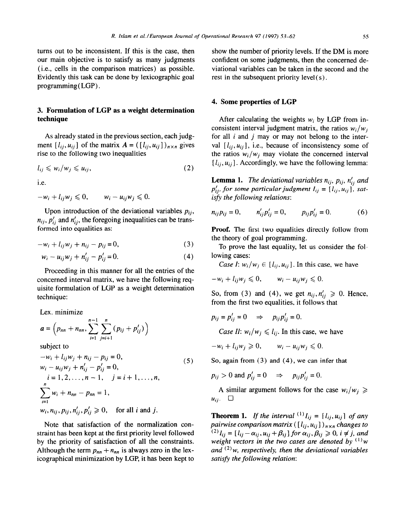turns out to be inconsistent. If this is the case, then our main objective is to satisfy as many judgments (i.e., cells in the comparison matrices) as possible. Evidently this task can be done by lexicographic goal programming( LGP) .

### 3. **Formulation of LGP as a weight determination technique**

As already stated in the previous section, each judgment  $[l_{ij}, u_{ij}]$  of the matrix  $A = (\lbrack l_{ij}, u_{ij} \rbrack)_{n \times n}$  gives rise to the following two inequalities

$$
l_{ij} \leqslant w_i/w_j \leqslant u_{ij},\tag{2}
$$

i.e.

$$
-w_i + l_{ij}w_j \leq 0, \qquad w_i - u_{ij}w_j \leq 0.
$$

Upon introduction of the deviational variables  $p_{ij}$ ,  $n_{ij}$ ,  $p'_{ij}$  and  $n'_{ij}$ , the foregoing inequalities can be transformed into equalities as:

$$
-w_i + l_{ij}w_j + n_{ij} - p_{ij} = 0,
$$
\n<sup>(3)</sup>

$$
w_i - u_{ij}w_j + n'_{ij} - p'_{ij} = 0.
$$
 (4)

Proceeding in this manner for al1 the entries of the concerned interval matrix, we have the following requisite formulation of LGP as a weight determination technique:

Lex. minimize

$$
a = \left(p_{nn} + n_{nn}, \sum_{i=1}^{n-1} \sum_{j=i+1}^{n} (p_{ij} + p'_{ij})\right)
$$

subject to

$$
-w_i + l_{ij}w_j + n_{ij} - p_{ij} = 0,
$$
  
\n
$$
w_i - u_{ij}w_j + n'_{ij} - p'_{ij} = 0,
$$
  
\n
$$
i = 1, 2, ..., n - 1, \quad j = i + 1, ..., n,
$$
  
\n
$$
\sum_{i=1}^{n} w_i + n_{nn} - p_{nn} = 1,
$$
  
\n
$$
w_i, n_{ij}, p_{ij}, n'_{ij}, p'_{ij} \ge 0, \quad \text{for all } i \text{ and } j.
$$
  
\n(5)

Note that satisfaction of the normalization constraint has been kept at the first priority level followed by the priority of satisfaction of al1 the constraints. Although the term  $p_{nn} + n_{nn}$  is always zero in the lexicographical minimization by LGP, it has been kept to show the number of priority levels. If the DM is more confident on some judgments, then the concerned deviational variables can be taken in the second and the rest in the subsequent priority  $level(s)$ .

#### 4. **Some properties of LGP**

After calculating the weights  $w_i$  by LGP from inconsistent interval judgment matrix, the ratios  $w_i/w_i$ for all  $i$  and  $j$  may or may not belong to the interval  $[l_{ii}, u_{ii}]$ , i.e., because of inconsistency some of the ratios  $w_i/w_i$  may violate the concerned interval  $[l_{ii}, u_{ii}]$ . Accordingly, we have the following lemma:

**Lemma 1.** *The deviational variables*  $n_{ij}$ *,*  $p_{ij}$ *,*  $n'_{ij}$  *and*  $p'_{ij}$ , for some particular judgment  $I_{ij} = [l_{ij}, u_{ij}]$ , satisfy the following relations:

$$
n_{ij}p_{ij}=0, \t n'_{ij}p'_{ij}=0, \t p_{ij}p'_{ij}=0.
$$
 (6)

Proof. The first two equalities directly follow from the theory of goal programming.

To prove the last equality, let us consider the following cases:

*Case I:*  $w_i/w_i \in [l_{ij}, u_{ij}]$ . In this case, we have

$$
-w_i + l_{ij}w_j \leq 0, \qquad w_i - u_{ij}w_j \leq 0.
$$

So, from (3) and (4), we get  $n_{ij}, n'_{ij} \ge 0$ . Hence, from the first two equalities, it follows that

$$
p_{ij} = p'_{ij} = 0 \quad \Rightarrow \quad p_{ij} p'_{ij} = 0.
$$

*Case II:*  $w_i/w_j \le l_{ij}$ . In this case, we have

 $-w_i + l_{ij}w_j \geq 0$ ,  $w_i - u_{ii}w_j \leq 0$ .

So, again from (3) and (4), we can infer that

$$
p_{ij} > 0
$$
 and  $p'_{ij} = 0$   $\Rightarrow$   $p_{ij}p'_{ij} = 0$ .

A similar argument follows for the case  $w_i/w_j \geq$  $u_{ij}$ .  $\Box$ 

**Theorem 1.** *If the interval*  $\binom{1}{i}$   $I_{ij} = \binom{1}{i}$ ,  $u_{ij}$  *of any pairwise comparison matrix*  $([l_{ij}, u_{ij}])_{n \times n}$  *changes to*  $f^{(2)}I_{ij}=[l_{ij}-\alpha_{ij},u_{ij}+\beta_{ij}]$  for  $\alpha_{ij},\beta_{ij}\geq 0$ ,  $i\neq j$ , *weight vectors in the two cases are denoted by (') w*  and  $(2)$ *w, respectively, then the deviational variables satisfy the following relation:*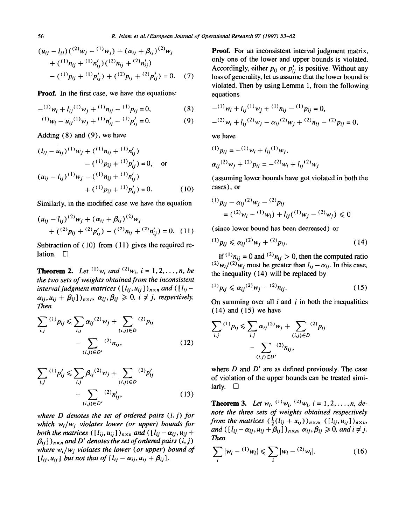$$
(u_{ij} - l_{ij})\binom{(2)_{ij}}{j} - \binom{(1)_{ij}}{k} + \left(\alpha_{ij} + \beta_{ij}\right)^{(2)}_{ij}w_j
$$
  
+ 
$$
\binom{(1)_{ij}}{j} + \binom{(1)_{ij}}{k} \binom{(2)_{ij}}{k} + \binom{(2)_{ij}}{k} \binom{(2)_{ij}}{k} = 0.
$$
 (7)

**Proof.** In the first case, we have the equations:

$$
-(1)w_i + l_{ij}(1)w_j + (1)u_{ij} - (1)p_{ij} = 0,
$$
 (8)

$$
^{(1)}w_i - u_{ij}^{(1)}w_j + ^{(1)}n'_{ij} - ^{(1)}p'_{ij} = 0.
$$
 (9)

Adding  $(8)$  and  $(9)$ , we have

$$
(l_{ij} - u_{ij})^{(1)} w_j + (^{(1)}n_{ij} + ^{(1)}n'_{ij})
$$
  
\n
$$
- (^{(1)}p_{ij} + ^{(1)}p'_{ij}) = 0, \text{ or}
$$
  
\n
$$
(u_{ij} - l_{ij})^{(1)} w_j - (^{(1)}n_{ij} + ^{(1)}n'_{ij})
$$
  
\n
$$
+ (^{(1)}p_{ij} + ^{(1)}p'_{ij}) = 0. \qquad (10)
$$

Similarly, in the modified case we have the equation

$$
(u_{ij} - l_{ij})^{(2)} w_j + (\alpha_{ij} + \beta_{ij})^{(2)} w_j
$$
  
+ 
$$
({}^{(2)}p_{ij} + {}^{(2)}p'_{ij}) - ({}^{(2)}n_{ij} + {}^{(2)}n'_{ij}) = 0.
$$
 (11)

Subtraction of (10) from (11) gives the required relation.  $\Box$ 

**Theorem 2.** Let  $^{(1)}w_i$  and  $^{(2)}w_i$ ,  $i = 1, 2, ..., n$ , be *the two sets of weights obtained from the inconsistent interval judgment matrices*  $([l_{ij}, u_{ij}])_{n \times n}$  and  $([l_{ij} \alpha_{ii}, u_{ii} + \beta_{ii}$ )<sub>n×m</sub>,  $\alpha_{ii}, \beta_{ii} \geq 0$ ,  $i \neq j$ , respectively. *Then* 

$$
\sum_{i,j}^{(1)} p_{ij} \leq \sum_{i,j} \alpha_{ij}^{(2)} w_j + \sum_{(i,j) \in D}^{(2)} p_{ij}
$$

$$
- \sum_{(i,j) \in D'}^{(2)} n_{ij}, \qquad (12)
$$

$$
\sum_{i,j}^{(1)} p'_{ij} \leq \sum_{i,j} \beta_{ij}^{(2)} w_j + \sum_{(i,j)\in D}^{(2)} p'_{ij}
$$

$$
- \sum_{(i,j)\in D'}^{(2)} n'_{ij}, \qquad (13)
$$

*where D denotes the set of ordered pairs (i, j) for which w;/wj violates lower (or upper) bounds for both the matrices*  $([l_{ii}, u_{ii}])_{n \times n}$  and  $([l_{ii} - \alpha_{ii}, u_{ii} + \alpha_{iii}]$  $\beta_{ij}$ ]  $)_{n \times n}$  and D' denotes the set of ordered pairs  $(i, j)$ *where w;/wj violates the lower (or upper) bound of*   $[l_{ij}, u_{ij}]$  *but not that of*  $[l_{ij} - \alpha_{ij}, u_{ij} + \beta_{ij}]$ .

Proof. For an inconsistent interval judgment matrix, only one of the lower and upper bounds is violated. Accordingly, either  $p_{ij}$  or  $p'_{ij}$  is positive. Without any loss of generality, let us assume that the lower bound is violated. Then by using Lemma 1, from the following equations

$$
-(1) w_i + l_{ij} {}^{(1)} w_j + {}^{(1)} n_{ij} - {}^{(1)} p_{ij} = 0,
$$
  

$$
- {}^{(2)} w_i + l_{ij} {}^{(2)} w_j - \alpha_{ij} {}^{(2)} w_j + {}^{(2)} n_{ij} - {}^{(2)} p_{ij} = 0,
$$

*we* have

$$
(1) p_{ij} = - (1) w_i + l_{ij} (1) w_j,
$$
  
\n
$$
\alpha_{ij} (2) w_j + (2) p_{ij} = - (2) w_i + l_{ij} (2) w_j
$$

(assuming lower bounds have got violated in both the cases), or

$$
^{(1)}p_{ij} - \alpha_{ij}^{(2)}w_j - {^{(2)}}p_{ij}
$$
  
= 
$$
({^{(2)}}w_i - {^{(1)}}w_i) + l_{ij}({^{(1)}}w_j - {^{(2)}}w_j) \leq 0
$$

(since lower bound has been decreased) or

$$
^{(1)}p_{ij} \leq \alpha_{ij}^{(2)}w_j + ^{(2)}p_{ij}.
$$
 (14)

If  $^{(1)}n_{ij} = 0$  and  $^{(2)}n_{ij} > 0$ , then the computed ratio  $(2)_{W_i}/(2)_{W_j}$  must be greater than  $l_{ij} - \alpha_{ij}$ . In this case, the inequality (14) wil1 be replaced by

$$
^{(1)}p_{ij} \leqslant \alpha_{ij}^{(2)}w_j - ^{(2)}n_{ij}.
$$
 (15)

On summing over all  $i$  and  $j$  in both the inequalities  $(14)$  and  $(15)$  we have

$$
\sum_{i,j}^{(1)} p_{ij} \leq \sum_{i,j} \alpha_{ij}^{(2)} w_j + \sum_{(i,j) \in D}^{(2)} p_{ij}
$$

$$
- \sum_{(i,j) \in D'}^{(2)} n_{ij},
$$

where *D* and *D' are* as defined previously. The case of violation of the upper bounds can be treated similarly.  $\Box$ 

**Theorem 3.** Let  $w_i$ , <sup>(1)</sup> $w_i$ , <sup>(2)</sup> $w_i$ ,  $i = 1, 2, ..., n$ , *denote the three sets of weights obtained respectively from the matrices*  $(\frac{1}{2}(l_{ij} + u_{ij}))_{n \times n}$ ,  $([l_{ij}, u_{ij}])_{n \times n}$ , *and*  $([l_{ij}-\alpha_{ij},u_{ij}+\beta_{ij}])_{n\times n}$ ,  $\alpha_{ij},\beta_{ij}\geq 0$ , and  $i\neq j$ . *Then* 

$$
\sum_{i} |w_i - {}^{(1)}w_i| \leqslant \sum_{i} |w_i - {}^{(2)}w_i|.
$$
 (16)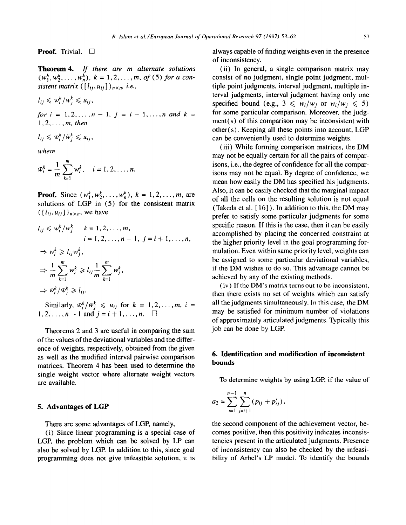**Proof.** Trivial.  $\Box$ 

**Theorem 4.** lf *there are rn altemate solutions*   $(w_1^k, w_2^k, \ldots, w_n^k), k = 1, 2, \ldots, m,$  *of* (5) for a con*sistent matrix*  $([l_{ij}, u_{ij}])_{n \times n}$ , *i.e.*,

$$
l_{ij} \leqslant w_i^{\kappa}/w_j^{\kappa} \leqslant u_{ij},
$$

*for*  $i = 1, 2, ..., n-1$ ,  $j = i + 1, ..., n$  *and*  $k =$ *1,2 ,..., m, then* 

$$
l_{ij} \leqslant \bar{w}_i^k / \bar{w}_i^k \leqslant u_{ij},
$$

*where* 

$$
\bar{w}_i^k = \frac{1}{m} \sum_{k=1}^m w_i^k, \quad i = 1, 2, \dots, n.
$$

**Proof.** Since  $(w_1^k, w_2^k, \ldots, w_n^k), k = 1, 2, \ldots, m$ , are solutions of LGP in (5) for the consistent matrix  $([l_{ii}, u_{ii}])_{n \times n}$ , we have

$$
l_{ij} \leqslant w_i^k/w_j^k \qquad k = 1, 2, \ldots, m,
$$
  
\n
$$
i = 1, 2, \ldots, n - 1, \ j = i + 1, \ldots, n,
$$
  
\n
$$
\Rightarrow w_i^k \geqslant l_{ij}w_j^k,
$$
  
\n
$$
\Rightarrow \frac{1}{m}\sum_{k=1}^m w_i^k \geqslant l_{ij}\frac{1}{m}\sum_{k=1}^m w_j^k,
$$
  
\n
$$
\Rightarrow \bar{w}_i^k/\bar{w}_j^k \geqslant l_{ij},
$$

Similarly,  $\bar{w}_i^k / \bar{w}_i^k \leq u_{ij}$  for  $k = 1, 2, ..., m$ ,  $i =$  $1, 2, \ldots, n-1$  and  $j = i+1, \ldots, n$ .  $\square$ 

Theorems 2 and 3 are useful in comparing the sum of the values of the deviational variables and the difference of weights, respectively, obtained from the given as wel1 as the modified interval pairwise comparison matrices. Theorem 4 has been used to determine the single weight vector where alternate weight vectors are available.

#### **5. Advantages of LGP**

LGP, the problem which can be solved by LP can tencies present in the articulated judgments. Presence also be solved by LGP. In addition to this, since goal of inconsistency can also be checked by the infeasialso be solved by LGP. In addition to this, since goal programming does not give infeasible solution, it is bility of Arbel's LP model. To identify the bounds

always capable of finding weights even in the presence of inconsistency.

(ii) In general, a single comparison matrix may consist of no judgment, single point judgment, multiple point judgments, interval judgment, multiple interval judgments, interval judgment having only one specified bound (e.g.,  $3 \leq w_i/w_i$  or  $w_i/w_i \leq 5$ ) for some particular comparison. Moreover, the judgment(s) of this comparison may be inconsistent with other( s). Keeping al1 these points into account, LGP can be conveniently used to determine weights.

(iii) While forming comparison matrices, the DM may not be equally certain for al1 the pairs of comparisons, i.e., the degree of confidence for al1 the comparisons may not be equal. By degree of confidence, we mean how easily the DM has specified his judgments. Also, it can be easily checked that the marginal impact of al1 the cells on the resulting solution is not equal (Takeda et al.  $[16]$ ). In addition to this, the DM may prefer to satisfy some particular judgments for some specific reason. If this is the case, then it can be easily accomplished by placing the concerned constraint at the higher priority level in the goal programming formulation. Even within same priority level, weights can be assigned to some particular deviational variables, if the DM wishes to do so. This advantage cannot be achieved by any of the existing methods.

(iv) If the DM's matrix turns out to be inconsistent, then there exists no set of weights which can satisfy al1 the judgments simultaneously. In this case, the DM may be satisfied for minimum number of violations of approximately articulated judgments. Typically this job can be done by LGP.

### 6. **Identification and modification of inconsistent bounds**

To determine weights by using LGP, if the value of

$$
a_2=\sum_{i=1}^{n-1}\sum_{j=i+1}^n(p_{ij}+p'_{ij}),
$$

There are some advantages of LGP, namely, the second component of the achievement vector, be-(i) Since linear programming is a special case of comes positive, then this positivity indicates inconsis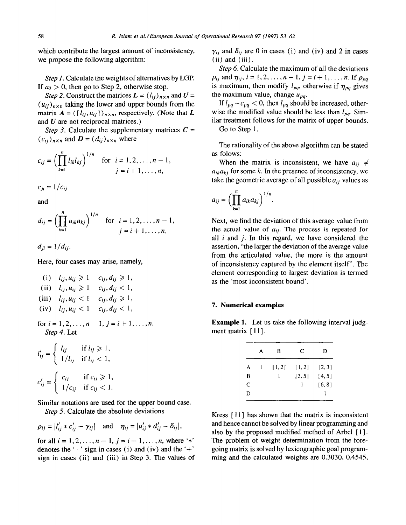which contribute the largest amount of inconsistency, we propose the following algorithm:

*Step 1.* Calculate the weights of alternatives by LGP. If  $a_2 > 0$ , then go to Step 2, otherwise stop.

*Step 2.* Construct the matrices  $\boldsymbol{L} = (l_{ii})_{n \times n}$  and  $\boldsymbol{U} =$  $(u_{ii})_{n\times n}$  taking the lower and upper bounds from the matrix  $A = (\begin{bmatrix} l_{ij}, u_{ij} \end{bmatrix})_{n \times n}$ , respectively. (Note that L and  $U$  are not reciprocal matrices.)

*Step 3.* Calculate the supplementary matrices  $C =$  $(c_{ii})_{n\times n}$  and  $\boldsymbol{D} = (d_{ii})_{n\times n}$  where

$$
c_{ij} = \left(\prod_{k=1}^n l_{ik} l_{kj}\right)^{1/n} \text{ for } i = 1, 2, ..., n-1, j = i+1, ..., n,
$$

 $c_{ii} = 1/c_{ii}$ 

and

$$
d_{ij} = \left(\prod_{k=1}^n u_{ik}u_{kj}\right)^{1/n} \text{ for } i = 1, 2, ..., n-1, j = i+1, ..., n,
$$

 $d_{ii} = 1/d_{ii}$ .

Here, four cases may arise, namely,

| (i) $l_{ij}, u_{ij} \geq 1$ $c_{ij}, d_{ij} \geq 1$ ,<br>(ii) $l_{ij}, u_{ij} \geq 1$ $c_{ij}, d_{ij} < 1$ ,<br>(iii) $l_{ij}, u_{ij} < 1$ $c_{ij}, d_{ij} \geq 1$ ,<br>(iv) $l_{ij}, u_{ij} < 1$ $c_{ij}, d_{ij} < 1$ , | 7. Numerical example |
|--------------------------------------------------------------------------------------------------------------------------------------------------------------------------------------------------------------------------|----------------------|
|--------------------------------------------------------------------------------------------------------------------------------------------------------------------------------------------------------------------------|----------------------|

Step 4. Let ment matrix [11].

$$
l'_{ij} = \begin{cases} l_{ij} & \text{if } l_{ij} \geq 1, \\ 1/l_{ij} & \text{if } l_{ij} < 1, \end{cases}
$$

$$
c'_{ij} = \begin{cases} c_{ij} & \text{if } c_{ij} \geq 1, \\ 1/c_{ij} & \text{if } c_{ij} < 1. \end{cases}
$$

Similar notations are used for the upper bound case.

*Step 5.* Calculate the absolute deviations

$$
\rho_{ij} = |l'_{ij} * c'_{ij} - \gamma_{ij}| \quad \text{and} \quad \eta_{ij} = |u'_{ij} * d'_{ij} - \delta_{ij}|,
$$

for all  $i = 1, 2, ..., n - 1$ ,  $j = i + 1, ..., n$ , where '\*' denotes the ' $-$ ' sign in cases (i) and (iv) and the ' $+$ ' sign in cases (ii) and (iii) in Step 3. The values of  $\gamma_{ij}$  and  $\delta_{ij}$  are 0 in cases (i) and (iv) and 2 in cases  $(ii)$  and  $(iii)$ .

*Step* 6. Calculate the maximum of al1 the deviations  $\rho_{ij}$  and  $\eta_{ij}$ ,  $i = 1, 2, ..., n - 1$ ,  $j = i + 1, ..., n$ . If  $\rho_{na}$ is maximum, then modify  $l_{pq}$ , otherwise if  $\eta_{pq}$  gives the maximum value, change  $u_{pa}$ .

If  $l_{pq} - c_{pq} < 0$ , then  $l_{pq}$  should be increased, otherwise the modified value should be less than  $l_{pq}$ . Similar treatment follows for the matrix of upper bounds. Go to Step 1.

The rationality of the above algorithm can be stated as folows:

When the matrix is inconsistent, we have  $a_{ij} \neq$  $a_{ik}a_{ki}$  for some k. In the presence of inconsistency, we take the geometric average of all possible  $a_{ij}$  values as

$$
a_{ij}=\bigg(\prod_{k=1}^n a_{ik}a_{kj}\bigg)^{1/n}.
$$

Next, we find the deviation of this average value from the actual value of  $a_{ij}$ . The process is repeated for al1 *i* and j. In this regard, we have considered the assertion, "the larger the deviation of the average value from the articulated value, the more is the amount of inconsistency captured by the element itself". The element corresponding to largest deviation is termed as the 'most inconsistent bound'.

for  $i=1,2,..., n-1$ ,  $j=i+1,..., n$ . **Example 1.** Let us take the following interval judg-

|   | А | в   | C      | D      |
|---|---|-----|--------|--------|
| А | 1 | 1,2 | [1,2]  | [2,3]  |
| B |   | ı   | [3, 5] | [4, 5] |
| C |   |     | I      | [6, 8] |
| D |   |     |        |        |
|   |   |     |        |        |

*Kress* [ 1 l] has shown that the matrix is inconsistent and hence cannot be solved by linear programming and also by the proposed modified method of Arbel [ 11. The problem of weight determination from the foregoing matrix is solved by lexicographic goal programming and the calculated weights are 0.3030, 0.4545,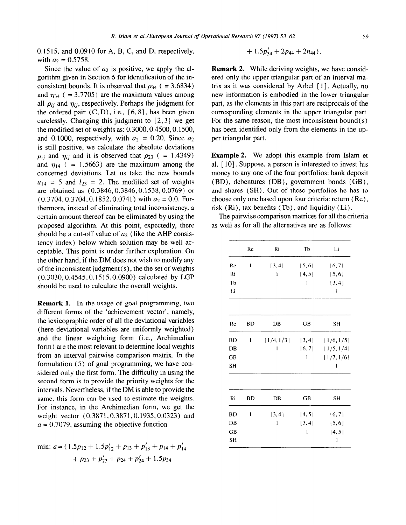0.15 15, and 0.0910 for A, B, C, and D, respectively, with  $a_2 = 0.5758$ .

Since the value of  $a_2$  is positive, we apply the algorithm given in Section 6 for identification of the inconsistent bounds. It is observed that  $\rho_{34}$  ( = 3.6834) and  $\eta_{34}$  ( = 3.7705) are the maximum values among all  $\rho_{ij}$  and  $\eta_{ij}$ , respectively. Perhaps the judgment for the ordered pair  $(C, D)$ , i.e.,  $[6, 8]$ , has been given carelessly. Changing this judgment to  $[2,3]$  we get the modified set of weights as:  $0.3000, 0.4500, 0.1500$ , and 0.1000, respectively, with  $a_2 = 0.20$ . Since  $a_2$ is stil1 positive, we calculate the absolute deviations  $\rho_{ij}$  and  $\eta_{ij}$  and it is observed that  $\rho_{23}$  ( = 1.4349) and  $\eta_{14}$  ( $= 1.5663$ ) are the maximum among the concerned deviations. Let us take the new bounds  $u_{14}$  = 5 and  $l_{23}$  = 2. The modified set of weights are obtained as (0.3846,0.3846,0.1538,0.0769) or  $(0.3704, 0.3704, 0.1852, 0.0741)$  with  $a_2 = 0.0$ . Furthermore, instead of eliminating total inconsistency, a certain amount thereof can be eliminated by using the proposed algorithm. At this point, expectedly, there should be a cut-off value of  $a_2$  (like the AHP consistency index) below which solution may be well acceptable. This point is under further exploration. On the other hand, if the DM does not wish to modify any of the inconsistent judgment( $s$ ), the the set of weights (0.3030,0.4545,0.15 15,0.0900) calculated by LGP should be used to calculate the overall weights.

Remark 1. In the usage of goal programming, two different forms of the 'achievement vector', namely, the lexicographic order of al1 the deviational variables (here deviational variables are uniformly weighted) and the linear weighting form (i.e., Archimedian form) are the most relevant to determine local weights from an interval pairwise comparison matrix. In the formulation (5) of goal programming, we have considered only the first form. The difficulty in using the second form is to provide the priority weights for the intervals. Nevertheless, if the DM is able to provide the same, this form can be used to estimate the weights. For instance, in the Archimedian form, we get the weight vector (0.3871,0.3871,0.1935,0.0323) and  $a = 0.7079$ , assuming the objective function

min: 
$$
a = (1.5p_{12} + 1.5p'_{12} + p_{13} + p'_{13} + p_{14} + p'_{14}
$$
  
+  $p_{23} + p'_{23} + p_{24} + p'_{24} + 1.5p_{34}$ 

$$
+ 1.5p'_{34} + 2p_{44} + 2n_{44}).
$$

Remark 2. While deriving weights, we have considered only the upper triangular part of an interval matrix as it was considered by Arbel [ 11. Actually, no new information is embodied in the lower triangular part, as the elements in this part are reciprocals of the corresponding elements in the upper triangular part. For the same reason, the most inconsistent bound $(s)$ has been identified only from the elements in the upper triangular part.

Example 2. We adopt this example from Islam et al. [ 101. Suppose, a person is interested to invest his money to any one of the four portfolios: bank deposit (BD), debentures (DB), government bonds (GB), and shares (SH). Out of these portfolios he has to choose only one based upon four criteria: return (Re), risk  $(Ri)$ , tax benefits  $(Tb)$ , and liquidity  $(Li)$ .

The pairwise comparison matrices for all the criteria as wel1 as for al1 the alternatives are as follows:

|           | Re | Ri         | Tъ     | Li                  |
|-----------|----|------------|--------|---------------------|
| Re        | I  | [3, 4]     | 5,6    | [6, 7]              |
| Ri        |    | I          | [4, 5] | 5,6                 |
| Tb        |    |            | 1      | [3, 4]              |
| Li        |    |            |        | I                   |
|           |    |            |        |                     |
| Re        | BD | DB         | GВ     | SН                  |
| BD        | l  | [1/4, 1/3] | [3, 4] | [1/6, 1/5]          |
| DB        |    | ı          |        | $[6,7]$ $[1/5,1/4]$ |
| GB        |    |            | 1      | [1/7, 1/6]          |
| SH        |    |            |        | 1                   |
|           |    |            |        |                     |
| Ri        | BD | DB         | GB     | SН                  |
| BD        | 1  | [3, 4]     | [4, 5] | [6, 7]              |
| DB        |    | 1          | [3, 4] | [5, 6]              |
| <b>GB</b> |    |            | l      | 4, 5                |
| <b>SH</b> |    |            |        | 1                   |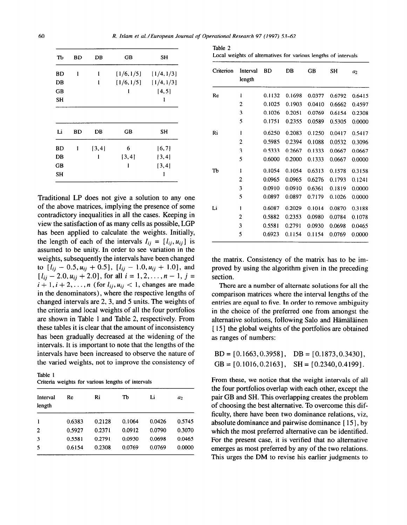| TЬ | BD | DB     | GB         | SН         |
|----|----|--------|------------|------------|
| BD | 1  | ı      | [1/6, 1/5] | [1/4, 1/3] |
| DB |    | l      | [1/6, 1/5] | [1/4, 1/3] |
| GB |    |        | 1          | [4, 5]     |
| SН |    |        |            | l          |
| Li | BD | DB     | GB         | SН         |
| BD | ı  | [3, 4] | 6          | [6, 7]     |
| DB |    | 1      | [3, 4]     | $\{3,4\}$  |
| GB |    |        | 1          | [3, 4]     |
| SH |    |        |            | ı          |
|    |    |        |            |            |

Traditional LP does not give a solution to any one of the above matrices, implying the presence of some contradictory inequalities in al1 the cases. Keeping in view the satisfaction of as many cells as possible, LGP has been applied to calculate the weights. Initially, the length of each of the intervals  $I_{ij} = [l_{ij}, u_{ij}]$  is assumed to be unity. In order to see variation in the weights, subsequently the intervals have been changed to  $[I_{ij} - 0.5, u_{ij} + 0.5], [I_{ij} - 1.0, u_{ij} + 1.0],$  and  $[i_{ij}-2.0, u_{ij}+2.0]$ , for all  $i=1,2,..., n-1, j=$  $i+1, i+2, \ldots, n$  (for  $l_{ii}, u_{ii} < 1$ , changes are made in the denominators) , where the respective lengths of changed intervals are 2, 3, and 5 units. The weights of the criteria and local weights of al1 the four portfolios are shown in Table 1 and Table 2, respectively. From these tables it is clear that the amount of inconsistency has been gradually decreased at the widening of the intervals. It is important to note that the lengths of the intervals have been increased to observe the nature of the varied weights, not to improve the consistency of

Table 1 Criteria weights for various Iengths of intervals

| Interval<br>length | Re     | Ri     | Tb     | Li     | a <sub>2</sub> |
|--------------------|--------|--------|--------|--------|----------------|
| 1                  | 0.6383 | 0.2128 | 0.1064 | 0.0426 | 0.5745         |
| $\overline{c}$     | 0.5927 | 0.2371 | 0.0912 | 0.0790 | 0.3070         |
| 3                  | 0.5581 | 0.2791 | 0.0930 | 0.0698 | 0.0465         |
| 5                  | 0.6154 | 0.2308 | 0.0769 | 0.0769 | 0.0000         |

| Table 2 |  |                                                                |  |  |  |
|---------|--|----------------------------------------------------------------|--|--|--|
|         |  | Local weights of alternatives for various lengths of intervals |  |  |  |

| Criterion | Interval<br>length | <b>BD</b> | DB     | GВ     | SH     | a <sub>2</sub> |
|-----------|--------------------|-----------|--------|--------|--------|----------------|
| Re        | ı                  | 0.1132    | 0.1698 | 0.0377 | 0.6792 | 0.6415         |
|           | 2                  | 0.1025    | 0.1903 | 0.0410 | 0.6662 | 0.4597         |
|           | 3                  | 0.1026    | 0.2051 | 0.0769 | 0.6154 | 0.2308         |
|           | 5                  | 0.1751    | 0.2355 | 0.0589 | 0.5305 | 0.0000         |
| Ri        | ı                  | 0.6250    | 0.2083 | 0.1250 | 0.0417 | 0.5417         |
|           | $\overline{2}$     | 0.5985    | 0.2394 | 0.1088 | 0.0532 | 0.3096         |
|           | 3                  | 0.5333    | 0.2667 | 0.1333 | 0.0667 | 0.0667         |
|           | 5                  | 0.6000    | 0.2000 | 0.1333 | 0.0667 | 0.0000         |
| TЪ        | ı                  | 0.1054    | 0.1054 | 0.6313 | 0.1578 | 0.3158         |
|           | $\overline{2}$     | 0.0965    | 0.0965 | 0.6276 | 0.1793 | 0.1241         |
|           | 3                  | 0.0910    | 0.0910 | 0.6361 | 0.1819 | 0.0000         |
|           | 5                  | 0.0897    | 0.0897 | 0.7179 | 0.1026 | 0.0000         |
| Li        | ı                  | 0.6087    | 0.2029 | 0.1014 | 0.0870 | 0.3188         |
|           | 2                  | 0.5882    | 0.2353 | 0.0980 | 0.0784 | 0.1078         |
|           | 3                  | 0.5581    | 0.2791 | 0.0930 | 0.0698 | 0.0465         |
|           | 5                  | 0.6923    | 0.1154 | 0.1154 | 0.0769 | 0.0000         |

the matrix. Consistency of the matrix has to be improved by using the algorithm given in the preceding section.

There are a number of alternate solutions for al1 the comparison matrices where the interval lengths of the entries are equal to five. In order to remove ambiguity in the choice of the preferred one from amongst the alternative solutions, following Salo and Hämäläinen [15] the global weights of the portfolios are obtained as ranges of numbers:

| $BD = [0.1663, 0.3958], DB = [0.1873, 0.3430],$       |  |
|-------------------------------------------------------|--|
| $GB = [0.1016, 0.2163], \quad SH = [0.2340, 0.4199].$ |  |

From these, we notice that the weight intervals of all the four portfolios overlap with each other, except the pair GB and SH. This overlapping creates the problem of choosing the best alternative. To overcome this difficulty, there have been two dominance relations, viz, absolute dominance and pairwise dominance [15], by which the most preferred alternative can be identified. For the present case, it is verified that no alternative emerges as most preferred by any of the two relations. This urges the DM to revise his earlier judgments to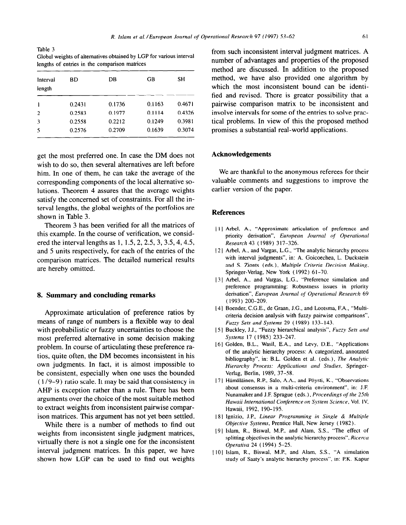**Table 3 Global weights of altematives obtained by LGP** for various interval **lengths of entries in the comparison matrices** 

| Interval<br>length | ВD     | DB     | GВ     | SН     |
|--------------------|--------|--------|--------|--------|
|                    | 0.2431 | 0.1736 | 0.1163 | 0.4671 |
| 2                  | 0.2583 | 0.1977 | 0.1114 | 0.4326 |
| 3                  | 0.2558 | 0.2212 | 0.1249 | 0.3981 |
| 5                  | 0.2576 | 0.2709 | 0.1639 | 0.3074 |

get the most preferred one. In case the DM does not wish to do so, then several alternatives are left before him. In one of them, he can take the average of the corresponding components of the local alternative solutions. Theorem 4 assures that the average weights satisfy the concerned set of constraints. For al1 the interval lengths, the global weights of the portfolios are shown in Table 3.

Theorem 3 has been verifìed for al1 the matrices of this example. In the course of verification, we considered the interval lengths as 1, 1.5, 2, 2.5, 3, 3.5, 4, 4.5, and 5 units respectively, for each of the entries of the comparison matrices. The detailed numerical results are hereby omitted.

#### 8. **Summary and concluding remarks**

Approximate articulation of preference ratios by means of range of numbers is a flexible way to deal with probabilistic or fuzzy uncertainties to choose the most preferred alternative in some decision making problem. In course of articulating these preference ratios, quite often, the DM becomes inconsistent in his own judgments. In fact, it is almost impossible to be consistent, especially when one uses the bounded  $(1/9-9)$  ratio scale. It may be said that consistency in AHP is exception rather than a rule. There has been arguments over the choice of the most suitable method to extract weights from inconsistent pairwise comparison matrices. This argument has not yet been settled.

While there is a number of methods to find out weights from inconsistent single judgment matrices, virtually there is not a single one for the inconsistent interval judgment matrices. In this paper, we have shown how LGP can be used to find out weights

from such inconsistent interval judgment matrices. A number of advantages and properties of the proposed method are discussed. In addition to the proposed method, we have also provided one algorithm by which the most inconsistent bound can be identified and revised. There is greater possibility that a pairwise comparison matrix to be inconsistent and involve intervals for some of the entries to solve practical problems. In view of this the proposed method promises a substantial real-world applications.

#### **Acknowledgements**

We are thankful to the anonymous referees for their valuable comments and suggestions to improve the earlier version of the paper.

#### **References**

- 1 11 **Arbel, A., "Approximate articulation of preferente and priority derivation",** *European Journul of Operutionul Research 43 ( 1989) 3 17-326.*
- [ *2* 1 **Arbel, A., and Vargas, L.G., "The analytic hierarchy process with interval judgments", in: A. Goicoechea, L. Duckstein and S. Zionts (eds.),** *Multiple Criteria Decision Making,*  **Springer-Verlag, New York ( 1992) 6 1-70.**
- **<sup>13</sup>**1 **Arbel, A., and Vargas, L.G., "Preferente simulation and preferente programming: Robustness issues in priority**  derivation", *European Journal of Operational Research* 69 *(1993) 200-209.*
- *141* **Boender, C.G.E., de Graan, J.G., and Lootsma, F.A., "Multicriteria decision analysis with fuzzy pairwise comparisons", Fuuy Sets** *und Systems 29 ( 1989) 133-143.*
- [ 5 ] **Buckley, J.J., "Fuzzy hierarchical analysis", Fuzzy Sefs** *trnd Systems 17 (1985) 233-247.*
- [ *61* **Golden, B.L., Wasil, E.A., and Levy, D.E.. "Applications of the analytic hierarchy process: A categorized, annotated**  bibliography", in: B.L. Golden et al. (eds.), *The Analytic* Hierarchy Process: Applications and Studies, Springer-**Verlag, Berlin, 1989, 37-58.**
- **171 Hiimäläinen, R.P., Salo, A.A., and Pöysti, K., "Observationx about consensus in a multi-criteria environment". in: J.F. Nunamaker and J.F. Sprague (eds.),** *Pmceedings ofthe 251h Hawaii International Conference on System Science, Vol. IV,* **Hawaii, 1992, 190-195.**
- **181 Ignizio, J.P.,** *Lineur Progrumming in Single & Multiple Objecrive Systems,* **Prcntice Hall. New Jersey ( 1982).**
- **(91 Islam, R., Biswal, M.P., and Alam, S.S., "The effect of**  splitting objectives in the analytic hierarchy process", *Ricerca Operutivu 24 ( 1994) 5-25.*
- **1 101 Islam, R., Biswal. M.P., and Alam, S.S., "A simulation study of Saaty's analytic hierarchy process", in: P.K. Kapur**